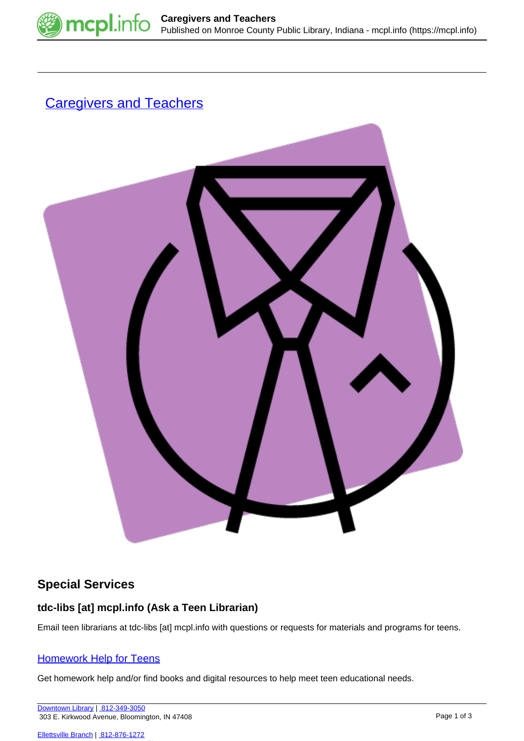

# **[Caregivers and Teachers](https://mcpl.info/teens/caregivers-and-teachers)**



# **Special Services**

## **tdc-libs [at] mcpl.info (Ask a Teen Librarian)**

Email teen librarians at tdc-libs [at] mcpl.info with questions or requests for materials and programs for teens.

## [Homework Help for Teens](https://mcpl.info/teens/homework-help)

Get homework help and/or find books and digital resources to help meet teen educational needs.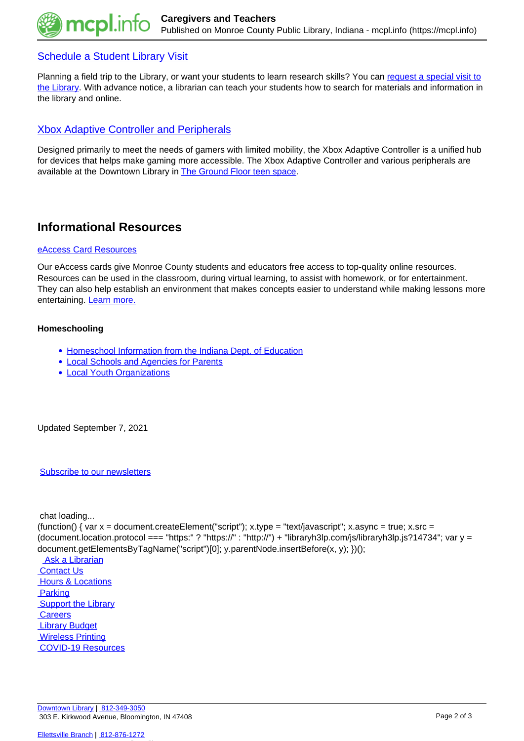

## [Schedule a Student Library Visit](https://mcpl.info/teens/teen-library-visit-request)

Planning a field trip to the Library, or want your students to learn research skills? You can [request a special visit to](https://mcpl.info/teens/teen-library-visit-request) [the Library.](https://mcpl.info/teens/teen-library-visit-request) With advance notice, a librarian can teach your students how to search for materials and information in the library and online.

## [Xbox Adaptive Controller and Peripherals](https://mcpl.info/teens/xbox-adaptive-controller-and-peripherals)

Designed primarily to meet the needs of gamers with limited mobility, the Xbox Adaptive Controller is a unified hub for devices that helps make gaming more accessible. The Xbox Adaptive Controller and various peripherals are available at the Downtown Library in **The Ground Floor teen space**.

# **Informational Resources**

### [eAccess Card Resources](https://mcpl.info/schools)

Our eAccess cards give Monroe County students and educators free access to top-quality online resources. Resources can be used in the classroom, during virtual learning, to assist with homework, or for entertainment. They can also help establish an environment that makes concepts easier to understand while making lessons more entertaining. [Learn more.](https://mcpl.info/schools)

### **Homeschooling**

- [Homeschool Information from the Indiana Dept. of Education](https://www.doe.in.gov/school-improvement/home-school)
- [Local Schools and Agencies for Parents](https://mcpl.info/teens/local-schools-and-agencies-serving-parents)
- [Local Youth Organizations](https://mcpl.info/childrens/local-youth-organizations)

Updated September 7, 2021

#### [Subscribe to our newsletters](https://mcpl.info/geninfo/subscribe-think-library-newsletter)

chat loading...

(function() { var  $x =$  document.createElement("script");  $x.$ type = "text/javascript";  $x.$ async = true;  $x.$ src = (document.location.protocol === "https:" ? "https://" : "http://") + "libraryh3lp.com/js/libraryh3lp.js?14734"; var y = document.getElementsByTagName("script")[0]; y.parentNode.insertBefore(x, y); })();

 [Ask a Librarian](https://mcpl.info/askus)  [Contact Us](https://mcpl.info/geninfo/contact-us) **Hours & Locations**  [Parking](https://mcpl.info/parking?utm_source=footer&utm_medium=links&utm_campaign=parking) **Support the Library Careers Library Budget**  [Wireless Printing](https://tbs.eprintit.com/portal/#/ppl/upload/monroecpl)  [COVID-19 Resources](https://mcpl.info/geninfo/local-covid-resources)